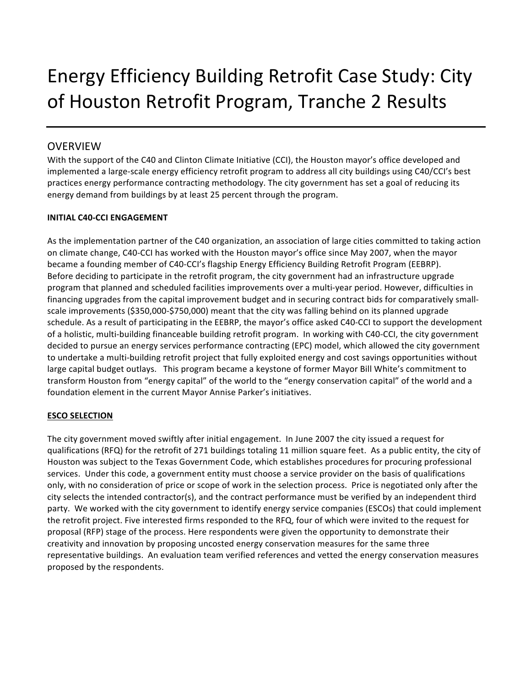# Energy Efficiency Building Retrofit Case Study: City of Houston Retrofit Program, Tranche 2 Results

# **OVERVIEW**

With the support of the C40 and Clinton Climate Initiative (CCI), the Houston mayor's office developed and implemented a large-scale energy efficiency retrofit program to address all city buildings using C40/CCI's best practices energy performance contracting methodology. The city government has set a goal of reducing its energy demand from buildings by at least 25 percent through the program.

# **INITIAL C40-CCI ENGAGEMENT**

As the implementation partner of the C40 organization, an association of large cities committed to taking action on climate change, C40-CCI has worked with the Houston mayor's office since May 2007, when the mayor became a founding member of C40-CCI's flagship Energy Efficiency Building Retrofit Program (EEBRP). Before deciding to participate in the retrofit program, the city government had an infrastructure upgrade program that planned and scheduled facilities improvements over a multi-year period. However, difficulties in financing upgrades from the capital improvement budget and in securing contract bids for comparatively smallscale improvements (\$350,000-\$750,000) meant that the city was falling behind on its planned upgrade schedule. As a result of participating in the EEBRP, the mayor's office asked C40-CCI to support the development of a holistic, multi-building financeable building retrofit program. In working with C40-CCI, the city government decided to pursue an energy services performance contracting (EPC) model, which allowed the city government to undertake a multi-building retrofit project that fully exploited energy and cost savings opportunities without large capital budget outlays. This program became a keystone of former Mayor Bill White's commitment to transform Houston from "energy capital" of the world to the "energy conservation capital" of the world and a foundation element in the current Mayor Annise Parker's initiatives.

# **ESCO SELECTION**

The city government moved swiftly after initial engagement. In June 2007 the city issued a request for qualifications (RFQ) for the retrofit of 271 buildings totaling 11 million square feet. As a public entity, the city of Houston was subject to the Texas Government Code, which establishes procedures for procuring professional services. Under this code, a government entity must choose a service provider on the basis of qualifications only, with no consideration of price or scope of work in the selection process. Price is negotiated only after the city selects the intended contractor(s), and the contract performance must be verified by an independent third party. We worked with the city government to identify energy service companies (ESCOs) that could implement the retrofit project. Five interested firms responded to the RFQ, four of which were invited to the request for proposal (RFP) stage of the process. Here respondents were given the opportunity to demonstrate their creativity and innovation by proposing uncosted energy conservation measures for the same three representative buildings. An evaluation team verified references and vetted the energy conservation measures proposed by the respondents.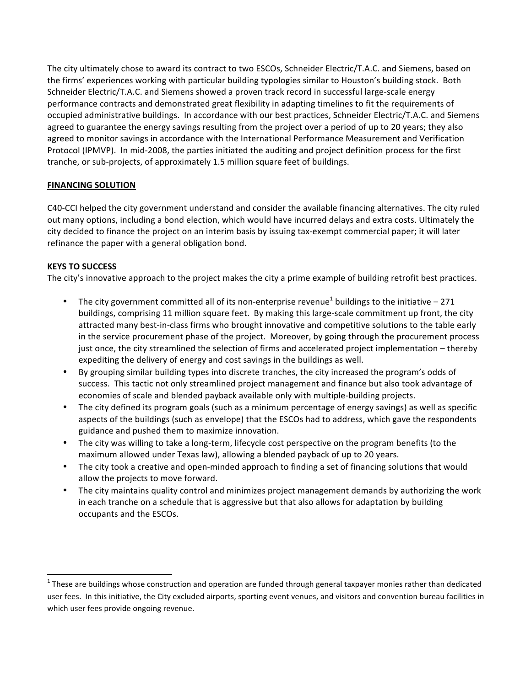The city ultimately chose to award its contract to two ESCOs, Schneider Electric/T.A.C. and Siemens, based on the firms' experiences working with particular building typologies similar to Houston's building stock. Both Schneider Electric/T.A.C. and Siemens showed a proven track record in successful large-scale energy performance contracts and demonstrated great flexibility in adapting timelines to fit the requirements of occupied administrative buildings. In accordance with our best practices, Schneider Electric/T.A.C. and Siemens agreed to guarantee the energy savings resulting from the project over a period of up to 20 years; they also agreed to monitor savings in accordance with the International Performance Measurement and Verification Protocol (IPMVP). In mid-2008, the parties initiated the auditing and project definition process for the first tranche, or sub-projects, of approximately 1.5 million square feet of buildings.

# **FINANCING SOLUTION**

C40-CCI helped the city government understand and consider the available financing alternatives. The city ruled out many options, including a bond election, which would have incurred delays and extra costs. Ultimately the city decided to finance the project on an interim basis by issuing tax-exempt commercial paper; it will later refinance the paper with a general obligation bond.

# **KEYS TO SUCCESS**

 

The city's innovative approach to the project makes the city a prime example of building retrofit best practices.

- The city government committed all of its non-enterprise revenue<sup>1</sup> buildings to the initiative 271 buildings, comprising 11 million square feet. By making this large-scale commitment up front, the city attracted many best-in-class firms who brought innovative and competitive solutions to the table early in the service procurement phase of the project. Moreover, by going through the procurement process just once, the city streamlined the selection of firms and accelerated project implementation – thereby expediting the delivery of energy and cost savings in the buildings as well.
- By grouping similar building types into discrete tranches, the city increased the program's odds of success. This tactic not only streamlined project management and finance but also took advantage of economies of scale and blended payback available only with multiple-building projects.
- The city defined its program goals (such as a minimum percentage of energy savings) as well as specific aspects of the buildings (such as envelope) that the ESCOs had to address, which gave the respondents guidance and pushed them to maximize innovation.
- The city was willing to take a long-term, lifecycle cost perspective on the program benefits (to the maximum allowed under Texas law), allowing a blended payback of up to 20 years.
- The city took a creative and open-minded approach to finding a set of financing solutions that would allow the projects to move forward.
- The city maintains quality control and minimizes project management demands by authorizing the work in each tranche on a schedule that is aggressive but that also allows for adaptation by building occupants and the ESCOs.

 $1$  These are buildings whose construction and operation are funded through general taxpayer monies rather than dedicated user fees. In this initiative, the City excluded airports, sporting event venues, and visitors and convention bureau facilities in which user fees provide ongoing revenue.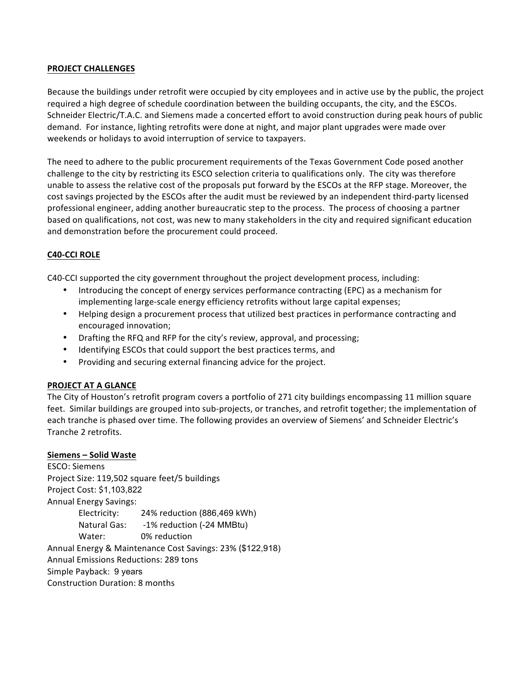# **PROJECT CHALLENGES**

Because the buildings under retrofit were occupied by city employees and in active use by the public, the project required a high degree of schedule coordination between the building occupants, the city, and the ESCOs. Schneider Electric/T.A.C. and Siemens made a concerted effort to avoid construction during peak hours of public demand. For instance, lighting retrofits were done at night, and major plant upgrades were made over weekends or holidays to avoid interruption of service to taxpayers.

The need to adhere to the public procurement requirements of the Texas Government Code posed another challenge to the city by restricting its ESCO selection criteria to qualifications only. The city was therefore unable to assess the relative cost of the proposals put forward by the ESCOs at the RFP stage. Moreover, the cost savings projected by the ESCOs after the audit must be reviewed by an independent third-party licensed professional engineer, adding another bureaucratic step to the process. The process of choosing a partner based on qualifications, not cost, was new to many stakeholders in the city and required significant education and demonstration before the procurement could proceed.

# **C40-CCI ROLE**

C40-CCI supported the city government throughout the project development process, including:

- Introducing the concept of energy services performance contracting (EPC) as a mechanism for implementing large-scale energy efficiency retrofits without large capital expenses;
- Helping design a procurement process that utilized best practices in performance contracting and encouraged innovation;
- Drafting the RFQ and RFP for the city's review, approval, and processing;
- Identifying ESCOs that could support the best practices terms, and
- Providing and securing external financing advice for the project.

#### **PROJECT AT A GLANCE**

The City of Houston's retrofit program covers a portfolio of 271 city buildings encompassing 11 million square feet. Similar buildings are grouped into sub-projects, or tranches, and retrofit together; the implementation of each tranche is phased over time. The following provides an overview of Siemens' and Schneider Electric's Tranche 2 retrofits.

#### **Siemens – Solid Waste**

ESCO: Siemens Project Size: 119,502 square feet/5 buildings Project Cost: \$1,103,822 Annual Energy Savings: Electricity: 24% reduction (886,469 kWh) Natural Gas: -1% reduction (-24 MMBtu) Water: 0% reduction Annual Energy & Maintenance Cost Savings: 23% (\$122,918) Annual Emissions Reductions: 289 tons Simple Payback: 9 years Construction Duration: 8 months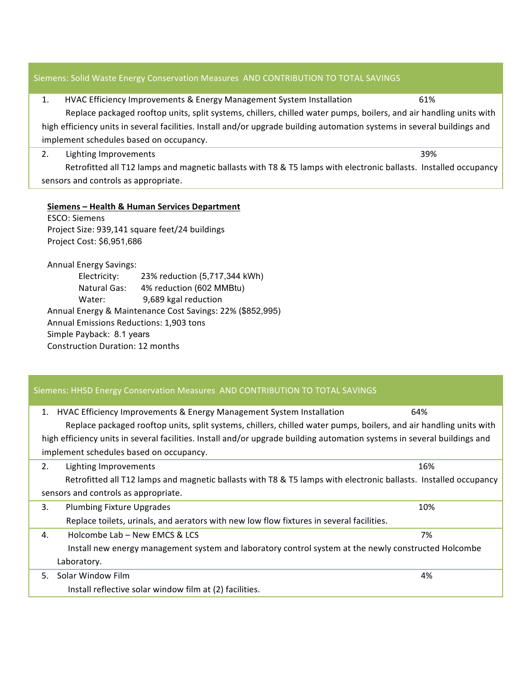# Siemens: Solid Waste Energy Conservation Measures AND CONTRIBUTION TO TOTAL SAVINGS

| HVAC Efficiency Improvements & Energy Management System Installation<br>61% |  |
|-----------------------------------------------------------------------------|--|
|-----------------------------------------------------------------------------|--|

Replace packaged rooftop units, split systems, chillers, chilled water pumps, boilers, and air handling units with high efficiency units in several facilities. Install and/or upgrade building automation systems in several buildings and implement schedules based on occupancy.

#### 2. Lighting Improvements 39%

Retrofitted all T12 lamps and magnetic ballasts with T8 & T5 lamps with electronic ballasts. Installed occupancy sensors and controls as appropriate.

# **Siemens – Health & Human Services Department**

ESCO: Siemens Project Size: 939,141 square feet/24 buildings Project Cost: \$6,951,686

Annual Energy Savings:

Electricity: 23% reduction (5,717,344 kWh) Natural Gas: 4% reduction (602 MMBtu) Water: 9,689 kgal reduction Annual Energy & Maintenance Cost Savings: 22% (\$852,995) Annual Emissions Reductions: 1,903 tons Simple Payback: 8.1 years Construction Duration: 12 months

# Siemens: HHSD Energy Conservation Measures AND CONTRIBUTION TO TOTAL SAVINGS 1. HVAC Efficiency Improvements & Energy Management System Installation 64% Replace packaged rooftop units, split systems, chillers, chilled water pumps, boilers, and air handling units with high efficiency units in several facilities. Install and/or upgrade building automation systems in several buildings and implement schedules based on occupancy. 2. Lighting Improvements 16% Retrofitted all T12 lamps and magnetic ballasts with T8 & T5 lamps with electronic ballasts. Installed occupancy sensors and controls as appropriate. 3. Plumbing Fixture Upgrades **buread a controlled a controlled a controlled a controlled a controlled a controlled a controlled a controlled a controlled a controlled a controlled a controlled a controlled a controlled a c** Replace toilets, urinals, and aerators with new low flow fixtures in several facilities. 4. Holcombe Lab – New EMCS & LCS 7% Install new energy management system and laboratory control system at the newly constructed Holcombe Laboratory. 5. Solar Window Film (200) (200) (200) (200) (200) (200) (200) (200) (200) (200) (200) (200) (200) (200) (200) (200) (200) (200) (200) (200) (200) (200) (200) (200) (200) (200) (200) (200) (200) (200) (200) (200) (200) (20 Install reflective solar window film at (2) facilities.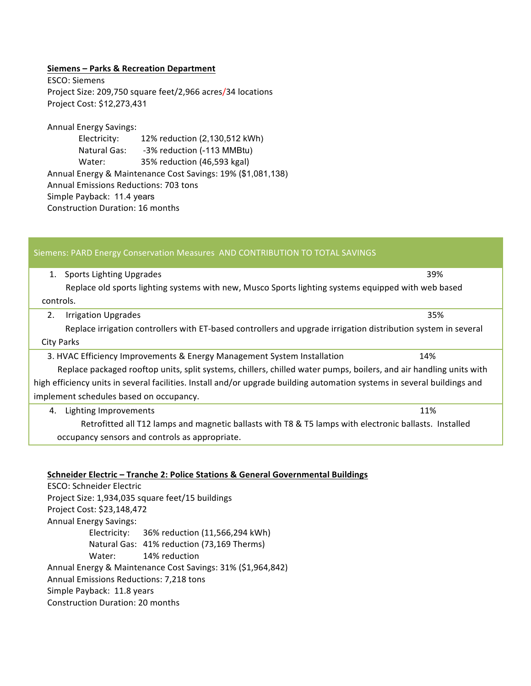# **Siemens – Parks & Recreation Department**

ESCO: Siemens Project Size: 209,750 square feet/2,966 acres/34 locations Project Cost: \$12,273,431

Annual Energy Savings:

Electricity: 12% reduction (2,130,512 kWh) Natural Gas: -3% reduction (-113 MMBtu) Water: 35% reduction (46,593 kgal) Annual Energy & Maintenance Cost Savings: 19% (\$1,081,138) Annual Emissions Reductions: 703 tons Simple Payback: 11.4 years Construction Duration: 16 months

| Siemens: PARD Energy Conservation Measures AND CONTRIBUTION TO TOTAL SAVINGS                                             |     |  |  |
|--------------------------------------------------------------------------------------------------------------------------|-----|--|--|
| <b>Sports Lighting Upgrades</b><br>1.                                                                                    | 39% |  |  |
| Replace old sports lighting systems with new, Musco Sports lighting systems equipped with web based                      |     |  |  |
| controls.                                                                                                                |     |  |  |
| 2.<br><b>Irrigation Upgrades</b>                                                                                         | 35% |  |  |
| Replace irrigation controllers with ET-based controllers and upgrade irrigation distribution system in several           |     |  |  |
| <b>City Parks</b>                                                                                                        |     |  |  |
| 3. HVAC Efficiency Improvements & Energy Management System Installation                                                  | 14% |  |  |
| Replace packaged rooftop units, split systems, chillers, chilled water pumps, boilers, and air handling units with       |     |  |  |
| high efficiency units in several facilities. Install and/or upgrade building automation systems in several buildings and |     |  |  |
| implement schedules based on occupancy.                                                                                  |     |  |  |
| Lighting Improvements<br>4.                                                                                              | 11% |  |  |
| Retrofitted all T12 lamps and magnetic ballasts with T8 & T5 lamps with electronic ballasts. Installed                   |     |  |  |
| occupancy sensors and controls as appropriate.                                                                           |     |  |  |

#### **Schneider Electric - Tranche 2: Police Stations & General Governmental Buildings**

ESCO: Schneider Electric Project Size: 1,934,035 square feet/15 buildings Project Cost: \$23,148,472 Annual Energy Savings: Electricity: 36% reduction (11,566,294 kWh) Natural Gas: 41% reduction (73,169 Therms) Water: 14% reduction Annual Energy & Maintenance Cost Savings: 31% (\$1,964,842) Annual Emissions Reductions: 7,218 tons Simple Payback: 11.8 years

Construction Duration: 20 months